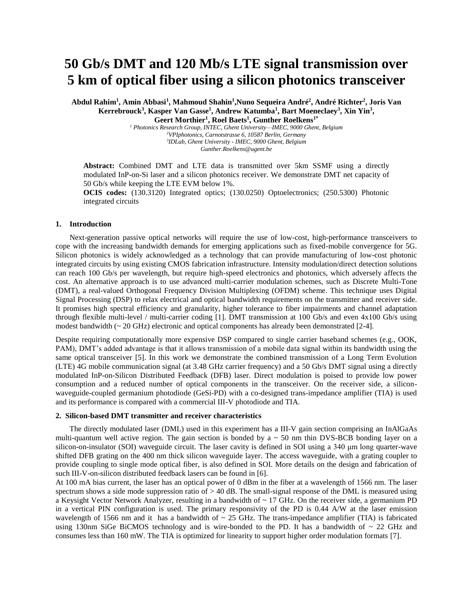# **50 Gb/s DMT and 120 Mb/s LTE signal transmission over 5 km of optical fiber using a silicon photonics transceiver**

**Abdul Rahim<sup>1</sup> , Amin Abbasi<sup>1</sup> , Mahmoud Shahin<sup>1</sup> ,Nuno Sequeira André<sup>2</sup> , André Richter<sup>2</sup> , Joris Van Kerrebrouck<sup>3</sup> , Kasper Van Gasse<sup>1</sup> , Andrew Katumba<sup>1</sup> , Bart Moeneclaey<sup>3</sup> , Xin Yin<sup>3</sup> , Geert Morthier<sup>1</sup> , Roel Baets<sup>1</sup> , Gunther Roelkens1\***

 *Photonics Research Group, INTEC, Ghent University—IMEC, 9000 Ghent, Belgium VPIphotonics, Carnotstrasse 6, 10587 Berlin, Germany IDLab, Ghent University - IMEC, 9000 Ghent, Belgium Gunther.Roelkens@ugent.be*

**Abstract:** Combined DMT and LTE data is transmitted over 5km SSMF using a directly modulated InP-on-Si laser and a silicon photonics receiver. We demonstrate DMT net capacity of 50 Gb/s while keeping the LTE EVM below 1%.

**OCIS codes:** (130.3120) Integrated optics; (130.0250) Optoelectronics; (250.5300) Photonic integrated circuits

### **1. Introduction**

Next-generation passive optical networks will require the use of low-cost, high-performance transceivers to cope with the increasing bandwidth demands for emerging applications such as fixed-mobile convergence for 5G. Silicon photonics is widely acknowledged as a technology that can provide manufacturing of low-cost photonic integrated circuits by using existing CMOS fabrication infrastructure. Intensity modulation/direct detection solutions can reach 100 Gb/s per wavelength, but require high-speed electronics and photonics, which adversely affects the cost. An alternative approach is to use advanced multi-carrier modulation schemes, such as Discrete Multi-Tone (DMT), a real-valued Orthogonal Frequency Division Multiplexing (OFDM) scheme. This technique uses Digital Signal Processing (DSP) to relax electrical and optical bandwidth requirements on the transmitter and receiver side. It promises high spectral efficiency and granularity, higher tolerance to fiber impairments and channel adaptation through flexible multi-level / multi-carrier coding [1]. DMT transmission at 100 Gb/s and even 4x100 Gb/s using modest bandwidth  $\sim 20$  GHz) electronic and optical components has already been demonstrated [2-4].

Despite requiring computationally more expensive DSP compared to single carrier baseband schemes (e.g., OOK, PAM), DMT's added advantage is that it allows transmission of a mobile data signal within its bandwidth using the same optical transceiver [5]. In this work we demonstrate the combined transmission of a Long Term Evolution (LTE) 4G mobile communication signal (at 3.48 GHz carrier frequency) and a 50 Gb/s DMT signal using a directly modulated InP-on-Silicon Distributed Feedback (DFB) laser. Direct modulation is poised to provide low power consumption and a reduced number of optical components in the transceiver. On the receiver side, a siliconwaveguide-coupled germanium photodiode (GeSi-PD) with a co-designed trans-impedance amplifier (TIA) is used and its performance is compared with a commercial III-V photodiode and TIA.

#### **2. Silicon-based DMT transmitter and receiver characteristics**

The directly modulated laser (DML) used in this experiment has a III-V gain section comprising an InAlGaAs multi-quantum well active region. The gain section is bonded by  $a \sim 50$  nm thin DVS-BCB bonding layer on a silicon-on-insulator (SOI) waveguide circuit. The laser cavity is defined in SOI using a 340 μm long quarter-wave shifted DFB grating on the 400 nm thick silicon waveguide layer. The access waveguide, with a grating coupler to provide coupling to single mode optical fiber, is also defined in SOI. More details on the design and fabrication of such III-V-on-silicon distributed feedback lasers can be found in [6].

At 100 mA bias current, the laser has an optical power of 0 dBm in the fiber at a wavelength of 1566 nm. The laser spectrum shows a side mode suppression ratio of  $> 40$  dB. The small-signal response of the DML is measured using a Keysight Vector Network Analyzer, resulting in a bandwidth of  $\sim$  17 GHz. On the receiver side, a germanium PD in a vertical PIN configuration is used. The primary responsivity of the PD is 0.44 A/W at the laser emission wavelength of 1566 nm and it has a bandwidth of  $\sim$  25 GHz. The trans-impedance amplifier (TIA) is fabricated using 130nm SiGe BiCMOS technology and is wire-bonded to the PD. It has a bandwidth of  $\sim$  22 GHz and consumes less than 160 mW. The TIA is optimized for linearity to support higher order modulation formats [7].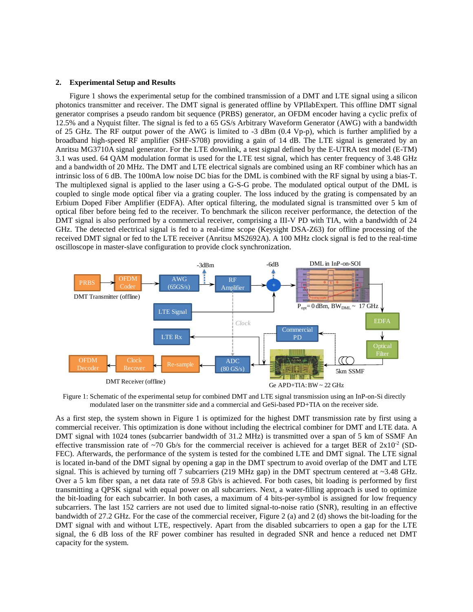## **2. Experimental Setup and Results**

Figure 1 shows the experimental setup for the combined transmission of a DMT and LTE signal using a silicon photonics transmitter and receiver. The DMT signal is generated offline by VPIlabExpert. This offline DMT signal generator comprises a pseudo random bit sequence (PRBS) generator, an OFDM encoder having a cyclic prefix of 12.5% and a Nyquist filter. The signal is fed to a 65 GS/s Arbitrary Waveform Generator (AWG) with a bandwidth of 25 GHz. The RF output power of the AWG is limited to -3 dBm (0.4 Vp-p), which is further amplified by a broadband high-speed RF amplifier (SHF-S708) providing a gain of 14 dB. The LTE signal is generated by an Anritsu MG3710A signal generator. For the LTE downlink, a test signal defined by the E-UTRA test model (E-TM) 3.1 was used. 64 QAM modulation format is used for the LTE test signal, which has center frequency of 3.48 GHz and a bandwidth of 20 MHz. The DMT and LTE electrical signals are combined using an RF combiner which has an intrinsic loss of 6 dB. The 100mA low noise DC bias for the DML is combined with the RF signal by using a bias-T. The multiplexed signal is applied to the laser using a G-S-G probe. The modulated optical output of the DML is coupled to single mode optical fiber via a grating coupler. The loss induced by the grating is compensated by an Erbium Doped Fiber Amplifier (EDFA). After optical filtering, the modulated signal is transmitted over 5 km of optical fiber before being fed to the receiver. To benchmark the silicon receiver performance, the detection of the DMT signal is also performed by a commercial receiver, comprising a III-V PD with TIA, with a bandwidth of 24 GHz. The detected electrical signal is fed to a real-time scope (Keysight DSA-Z63) for offline processing of the received DMT signal or fed to the LTE receiver (Anritsu MS2692A). A 100 MHz clock signal is fed to the real-time oscilloscope in master-slave configuration to provide clock synchronization.



Figure 1: Schematic of the experimental setup for combined DMT and LTE signal transmission using an InP-on-Si directly modulated laser on the transmitter side and a commercial and GeSi-based PD+TIA on the receiver side.

As a first step, the system shown in Figure 1 is optimized for the highest DMT transmission rate by first using a commercial receiver. This optimization is done without including the electrical combiner for DMT and LTE data. A DMT signal with 1024 tones (subcarrier bandwidth of 31.2 MHz) is transmitted over a span of 5 km of SSMF An effective transmission rate of ~70 Gb/s for the commercial receiver is achieved for a target BER of  $2x10^{-2}$  (SD-FEC). Afterwards, the performance of the system is tested for the combined LTE and DMT signal. The LTE signal is located in-band of the DMT signal by opening a gap in the DMT spectrum to avoid overlap of the DMT and LTE signal. This is achieved by turning off 7 subcarriers (219 MHz gap) in the DMT spectrum centered at ~3.48 GHz. Over a 5 km fiber span, a net data rate of 59.8 Gb/s is achieved. For both cases, bit loading is performed by first transmitting a QPSK signal with equal power on all subcarriers. Next, a water-filling approach is used to optimize the bit-loading for each subcarrier. In both cases, a maximum of 4 bits-per-symbol is assigned for low frequency subcarriers. The last 152 carriers are not used due to limited signal-to-noise ratio (SNR), resulting in an effective bandwidth of 27.2 GHz. For the case of the commercial receiver, Figure 2 (a) and 2 (d) shows the bit-loading for the DMT signal with and without LTE, respectively. Apart from the disabled subcarriers to open a gap for the LTE signal, the 6 dB loss of the RF power combiner has resulted in degraded SNR and hence a reduced net DMT capacity for the system.